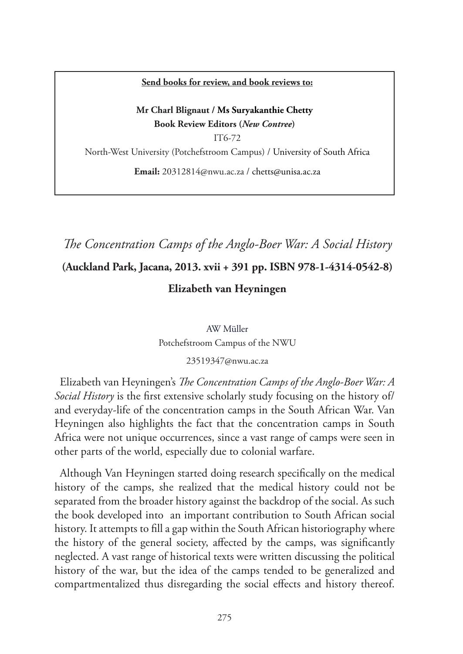#### **Send books for review, and book reviews to:**

### **Mr Charl Blignaut / Ms Suryakanthie Chetty Book Review Editors (***New Contree***)**

IT6-72 North-West University (Potchefstroom Campus) / University of South Africa

**Email:** 20312814@nwu.ac.za / chetts@unisa.ac.za

# *The Concentration Camps of the Anglo-Boer War: A Social History*

## **(Auckland Park, Jacana, 2013. xvii + 391 pp. ISBN 978-1-4314-0542-8)**

### **Elizabeth van Heyningen**

AW Müller Potchefstroom Campus of the NWU

#### 23519347@nwu.ac.za

Elizabeth van Heyningen's *The Concentration Camps of the Anglo-Boer War: A Social History* is the first extensive scholarly study focusing on the history of/ and everyday-life of the concentration camps in the South African War. Van Heyningen also highlights the fact that the concentration camps in South Africa were not unique occurrences, since a vast range of camps were seen in other parts of the world, especially due to colonial warfare.

Although Van Heyningen started doing research specifically on the medical history of the camps, she realized that the medical history could not be separated from the broader history against the backdrop of the social. As such the book developed into an important contribution to South African social history. It attempts to fill a gap within the South African historiography where the history of the general society, affected by the camps, was significantly neglected. A vast range of historical texts were written discussing the political history of the war, but the idea of the camps tended to be generalized and compartmentalized thus disregarding the social effects and history thereof.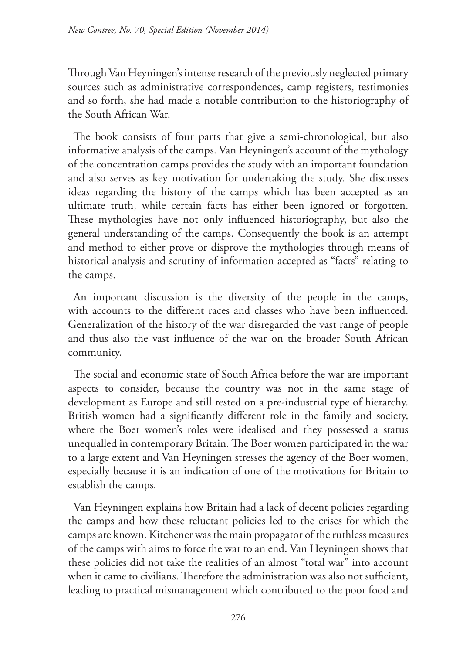Through Van Heyningen's intense research of the previously neglected primary sources such as administrative correspondences, camp registers, testimonies and so forth, she had made a notable contribution to the historiography of the South African War.

The book consists of four parts that give a semi-chronological, but also informative analysis of the camps. Van Heyningen's account of the mythology of the concentration camps provides the study with an important foundation and also serves as key motivation for undertaking the study. She discusses ideas regarding the history of the camps which has been accepted as an ultimate truth, while certain facts has either been ignored or forgotten. These mythologies have not only influenced historiography, but also the general understanding of the camps. Consequently the book is an attempt and method to either prove or disprove the mythologies through means of historical analysis and scrutiny of information accepted as "facts" relating to the camps.

An important discussion is the diversity of the people in the camps, with accounts to the different races and classes who have been influenced. Generalization of the history of the war disregarded the vast range of people and thus also the vast influence of the war on the broader South African community.

The social and economic state of South Africa before the war are important aspects to consider, because the country was not in the same stage of development as Europe and still rested on a pre-industrial type of hierarchy. British women had a significantly different role in the family and society, where the Boer women's roles were idealised and they possessed a status unequalled in contemporary Britain. The Boer women participated in the war to a large extent and Van Heyningen stresses the agency of the Boer women, especially because it is an indication of one of the motivations for Britain to establish the camps.

Van Heyningen explains how Britain had a lack of decent policies regarding the camps and how these reluctant policies led to the crises for which the camps are known. Kitchener was the main propagator of the ruthless measures of the camps with aims to force the war to an end. Van Heyningen shows that these policies did not take the realities of an almost "total war" into account when it came to civilians. Therefore the administration was also not sufficient, leading to practical mismanagement which contributed to the poor food and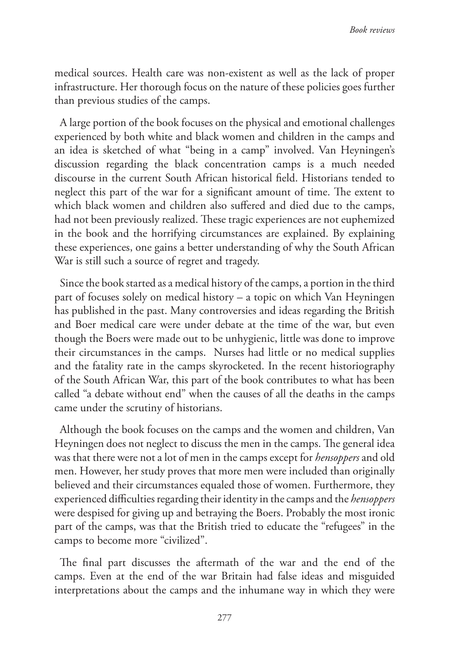medical sources. Health care was non-existent as well as the lack of proper infrastructure. Her thorough focus on the nature of these policies goes further than previous studies of the camps.

A large portion of the book focuses on the physical and emotional challenges experienced by both white and black women and children in the camps and an idea is sketched of what "being in a camp" involved. Van Heyningen's discussion regarding the black concentration camps is a much needed discourse in the current South African historical field. Historians tended to neglect this part of the war for a significant amount of time. The extent to which black women and children also suffered and died due to the camps, had not been previously realized. These tragic experiences are not euphemized in the book and the horrifying circumstances are explained. By explaining these experiences, one gains a better understanding of why the South African War is still such a source of regret and tragedy.

Since the book started as a medical history of the camps, a portion in the third part of focuses solely on medical history – a topic on which Van Heyningen has published in the past. Many controversies and ideas regarding the British and Boer medical care were under debate at the time of the war, but even though the Boers were made out to be unhygienic, little was done to improve their circumstances in the camps. Nurses had little or no medical supplies and the fatality rate in the camps skyrocketed. In the recent historiography of the South African War, this part of the book contributes to what has been called "a debate without end" when the causes of all the deaths in the camps came under the scrutiny of historians.

Although the book focuses on the camps and the women and children, Van Heyningen does not neglect to discuss the men in the camps. The general idea was that there were not a lot of men in the camps except for *hensoppers* and old men. However, her study proves that more men were included than originally believed and their circumstances equaled those of women. Furthermore, they experienced difficulties regarding their identity in the camps and the *hensoppers*  were despised for giving up and betraying the Boers. Probably the most ironic part of the camps, was that the British tried to educate the "refugees" in the camps to become more "civilized".

The final part discusses the aftermath of the war and the end of the camps. Even at the end of the war Britain had false ideas and misguided interpretations about the camps and the inhumane way in which they were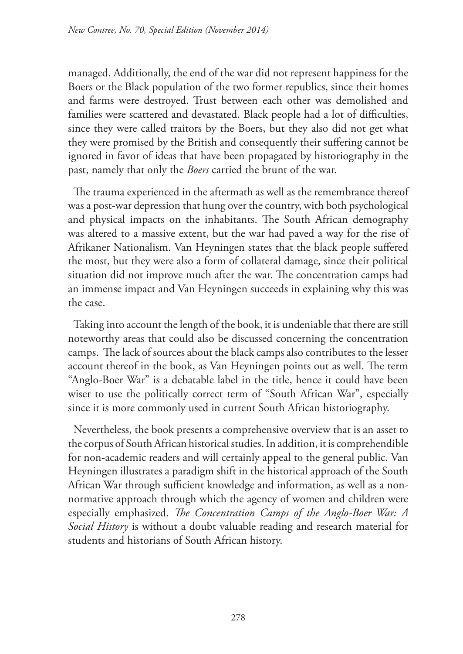managed. Additionally, the end of the war did not represent happiness for the Boers or the Black population of the two former republics, since their homes and farms were destroyed. Trust between each other was demolished and families were scattered and devastated. Black people had a lot of difficulties, since they were called traitors by the Boers, but they also did not get what they were promised by the British and consequently their suffering cannot be ignored in favor of ideas that have been propagated by historiography in the past, namely that only the *Boers* carried the brunt of the war.

The trauma experienced in the aftermath as well as the remembrance thereof was a post-war depression that hung over the country, with both psychological and physical impacts on the inhabitants. The South African demography was altered to a massive extent, but the war had paved a way for the rise of Afrikaner Nationalism. Van Heyningen states that the black people suffered the most, but they were also a form of collateral damage, since their political situation did not improve much after the war. The concentration camps had an immense impact and Van Heyningen succeeds in explaining why this was the case.

Taking into account the length of the book, it is undeniable that there are still noteworthy areas that could also be discussed concerning the concentration camps. The lack of sources about the black camps also contributes to the lesser account thereof in the book, as Van Heyningen points out as well. The term "Anglo-Boer War" is a debatable label in the title, hence it could have been wiser to use the politically correct term of "South African War", especially since it is more commonly used in current South African historiography.

Nevertheless, the book presents a comprehensive overview that is an asset to the corpus of South African historical studies. In addition, it is comprehendible for non-academic readers and will certainly appeal to the general public. Van Heyningen illustrates a paradigm shift in the historical approach of the South African War through sufficient knowledge and information, as well as a nonnormative approach through which the agency of women and children were especially emphasized. *The Concentration Camps of the Anglo-Boer War: A Social History* is without a doubt valuable reading and research material for students and historians of South African history.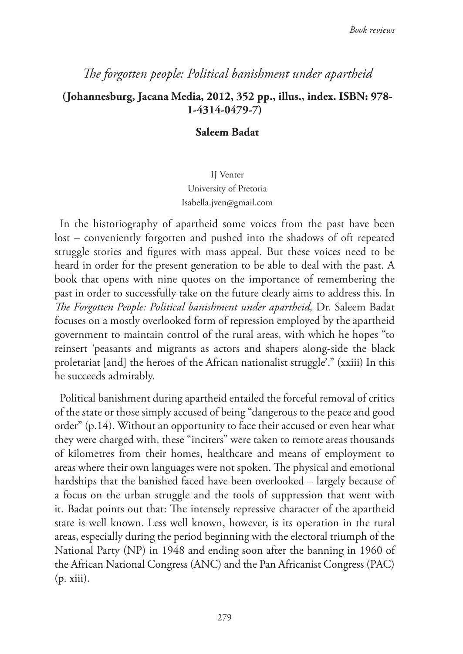# *The forgotten people: Political banishment under apartheid*

## **(Johannesburg, Jacana Media, 2012, 352 pp., illus., index. ISBN: 978- 1-4314-0479-7)**

### **Saleem Badat**

IJ Venter University of Pretoria Isabella.jven@gmail.com

In the historiography of apartheid some voices from the past have been lost – conveniently forgotten and pushed into the shadows of oft repeated struggle stories and figures with mass appeal. But these voices need to be heard in order for the present generation to be able to deal with the past. A book that opens with nine quotes on the importance of remembering the past in order to successfully take on the future clearly aims to address this. In *The Forgotten People: Political banishment under apartheid,* Dr. Saleem Badat focuses on a mostly overlooked form of repression employed by the apartheid government to maintain control of the rural areas, with which he hopes "to reinsert 'peasants and migrants as actors and shapers along-side the black proletariat [and] the heroes of the African nationalist struggle'." (xxiii) In this he succeeds admirably.

Political banishment during apartheid entailed the forceful removal of critics of the state or those simply accused of being "dangerous to the peace and good order" (p.14). Without an opportunity to face their accused or even hear what they were charged with, these "inciters" were taken to remote areas thousands of kilometres from their homes, healthcare and means of employment to areas where their own languages were not spoken. The physical and emotional hardships that the banished faced have been overlooked – largely because of a focus on the urban struggle and the tools of suppression that went with it. Badat points out that: The intensely repressive character of the apartheid state is well known. Less well known, however, is its operation in the rural areas, especially during the period beginning with the electoral triumph of the National Party (NP) in 1948 and ending soon after the banning in 1960 of the African National Congress (ANC) and the Pan Africanist Congress (PAC) (p. xiii).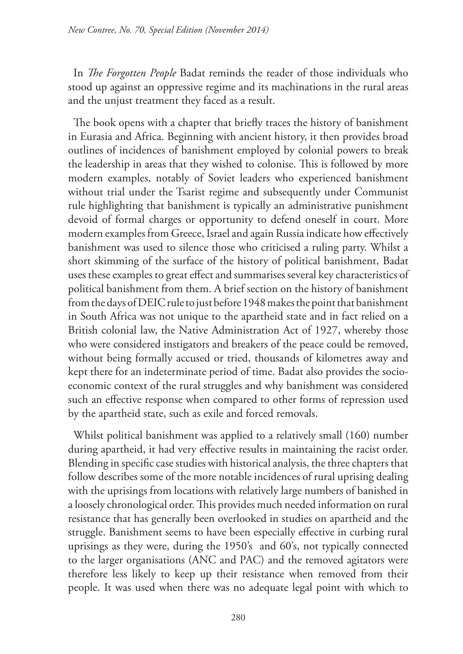In *The Forgotten People* Badat reminds the reader of those individuals who stood up against an oppressive regime and its machinations in the rural areas and the unjust treatment they faced as a result.

The book opens with a chapter that briefly traces the history of banishment in Eurasia and Africa. Beginning with ancient history, it then provides broad outlines of incidences of banishment employed by colonial powers to break the leadership in areas that they wished to colonise. This is followed by more modern examples, notably of Soviet leaders who experienced banishment without trial under the Tsarist regime and subsequently under Communist rule highlighting that banishment is typically an administrative punishment devoid of formal charges or opportunity to defend oneself in court. More modern examples from Greece, Israel and again Russia indicate how effectively banishment was used to silence those who criticised a ruling party. Whilst a short skimming of the surface of the history of political banishment, Badat uses these examples to great effect and summarises several key characteristics of political banishment from them. A brief section on the history of banishment from the days of DEIC rule to just before 1948 makes the point that banishment in South Africa was not unique to the apartheid state and in fact relied on a British colonial law, the Native Administration Act of 1927, whereby those who were considered instigators and breakers of the peace could be removed, without being formally accused or tried, thousands of kilometres away and kept there for an indeterminate period of time. Badat also provides the socioeconomic context of the rural struggles and why banishment was considered such an effective response when compared to other forms of repression used by the apartheid state, such as exile and forced removals.

Whilst political banishment was applied to a relatively small (160) number during apartheid, it had very effective results in maintaining the racist order. Blending in specific case studies with historical analysis, the three chapters that follow describes some of the more notable incidences of rural uprising dealing with the uprisings from locations with relatively large numbers of banished in a loosely chronological order. This provides much needed information on rural resistance that has generally been overlooked in studies on apartheid and the struggle. Banishment seems to have been especially effective in curbing rural uprisings as they were, during the 1950's and 60's, not typically connected to the larger organisations (ANC and PAC) and the removed agitators were therefore less likely to keep up their resistance when removed from their people. It was used when there was no adequate legal point with which to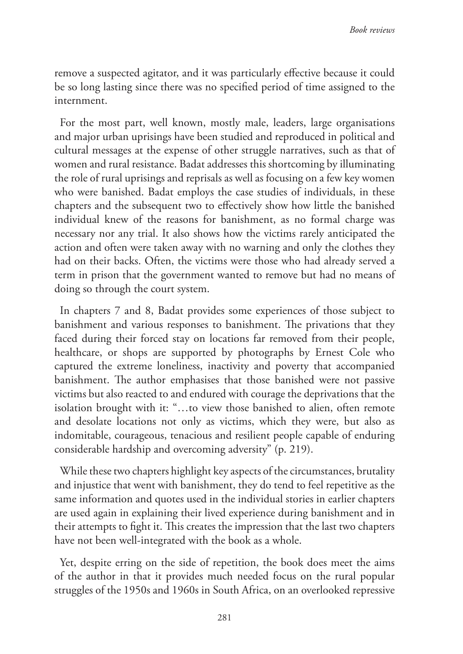remove a suspected agitator, and it was particularly effective because it could be so long lasting since there was no specified period of time assigned to the internment.

For the most part, well known, mostly male, leaders, large organisations and major urban uprisings have been studied and reproduced in political and cultural messages at the expense of other struggle narratives, such as that of women and rural resistance. Badat addresses this shortcoming by illuminating the role of rural uprisings and reprisals as well as focusing on a few key women who were banished. Badat employs the case studies of individuals, in these chapters and the subsequent two to effectively show how little the banished individual knew of the reasons for banishment, as no formal charge was necessary nor any trial. It also shows how the victims rarely anticipated the action and often were taken away with no warning and only the clothes they had on their backs. Often, the victims were those who had already served a term in prison that the government wanted to remove but had no means of doing so through the court system.

In chapters 7 and 8, Badat provides some experiences of those subject to banishment and various responses to banishment. The privations that they faced during their forced stay on locations far removed from their people, healthcare, or shops are supported by photographs by Ernest Cole who captured the extreme loneliness, inactivity and poverty that accompanied banishment. The author emphasises that those banished were not passive victims but also reacted to and endured with courage the deprivations that the isolation brought with it: "…to view those banished to alien, often remote and desolate locations not only as victims, which they were, but also as indomitable, courageous, tenacious and resilient people capable of enduring considerable hardship and overcoming adversity" (p. 219).

While these two chapters highlight key aspects of the circumstances, brutality and injustice that went with banishment, they do tend to feel repetitive as the same information and quotes used in the individual stories in earlier chapters are used again in explaining their lived experience during banishment and in their attempts to fight it. This creates the impression that the last two chapters have not been well-integrated with the book as a whole.

Yet, despite erring on the side of repetition, the book does meet the aims of the author in that it provides much needed focus on the rural popular struggles of the 1950s and 1960s in South Africa, on an overlooked repressive